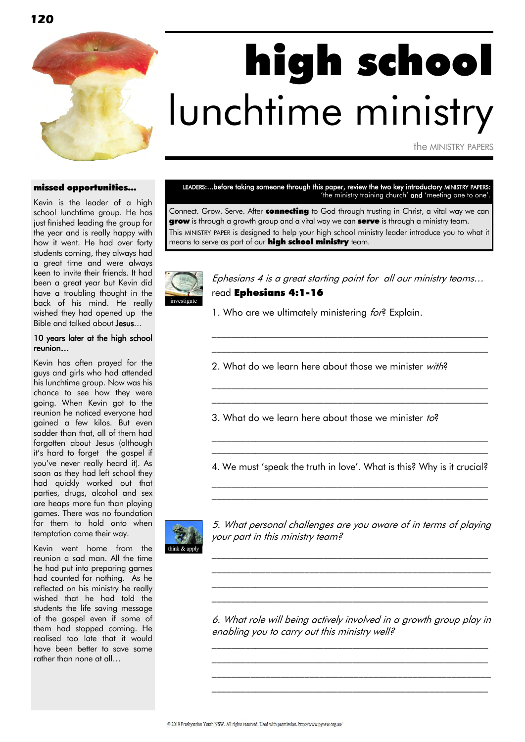

# high school lunchtime ministry

the MINISTRY PAPERS

### missed opportunities...

Kevin is the leader of a high school lunchtime group. He has just finished leading the group for the year and is really happy with how it went. He had over forty students coming, they always had a great time and were always keen to invite their friends. It had been a great year but Kevin did have a troubling thought in the back of his mind. He really wished they had opened up the Bible and talked about **Jesus...** 

### 10 years later at the high school reunion…

Kevin has often prayed for the guys and girls who had attended his lunchtime group. Now was his chance to see how they were going. When Kevin got to the reunion he noticed everyone had gained a few kilos. But even sadder than that, all of them had forgotten about Jesus (although it"s hard to forget the gospel if you"ve never really heard it). As soon as they had left school they had quickly worked out that parties, drugs, alcohol and sex are heaps more fun than playing games. There was no foundation for them to hold onto when temptation came their way.

Kevin went home from the reunion a sad man. All the time he had put into preparing games had counted for nothing. As he reflected on his ministry he really wished that he had told the students the life saving message of the gospel even if some of them had stopped coming. He realised too late that it would have been better to save some rather than none at all…

LEADERS:...before taking someone through this paper, review the two key introductory MINISTRY PAPERS: 'the ministry training church' and 'meeting one to one'.

Connect. Grow. Serve. After **connecting** to God through trusting in Christ, a vital way we can **grow** is through a growth group and a vital way we can **serve** is through a ministry team. This MINISTRY PAPER is designed to help your high school ministry leader introduce you to what it means to serve as part of our **high school ministry** team.



Ephesians 4 is a great starting point for all our ministry teams… read Ephesians 4:1-16

 $\mathcal{L}_\text{max}$  and the contract of the contract of the contract of the contract of the contract of the contract of \_\_\_\_\_\_\_\_\_\_\_\_\_\_\_\_\_\_\_\_\_\_\_\_\_\_\_\_\_\_\_\_\_\_\_\_\_\_\_\_\_\_\_\_\_\_\_\_\_\_\_\_\_\_\_\_\_

\_\_\_\_\_\_\_\_\_\_\_\_\_\_\_\_\_\_\_\_\_\_\_\_\_\_\_\_\_\_\_\_\_\_\_\_\_\_\_\_\_\_\_\_\_\_\_\_\_\_\_\_\_\_\_\_\_ \_\_\_\_\_\_\_\_\_\_\_\_\_\_\_\_\_\_\_\_\_\_\_\_\_\_\_\_\_\_\_\_\_\_\_\_\_\_\_\_\_\_\_\_\_\_\_\_\_\_\_\_\_\_\_\_\_

1. Who are we ultimately ministering for? Explain.

2. What do we learn here about those we minister with?

3. What do we learn here about those we minister to?

4. We must "speak the truth in love". What is this? Why is it crucial?  $\mathcal{L}_\text{max}$  and the contract of the contract of the contract of the contract of the contract of the contract of

\_\_\_\_\_\_\_\_\_\_\_\_\_\_\_\_\_\_\_\_\_\_\_\_\_\_\_\_\_\_\_\_\_\_\_\_\_\_\_\_\_\_\_\_\_\_\_\_\_\_\_\_\_\_\_\_\_

 $\mathcal{L}_\text{max}$  and the contract of the contract of the contract of the contract of the contract of the contract of \_\_\_\_\_\_\_\_\_\_\_\_\_\_\_\_\_\_\_\_\_\_\_\_\_\_\_\_\_\_\_\_\_\_\_\_\_\_\_\_\_\_\_\_\_\_\_\_\_\_\_\_\_\_\_\_\_



5. What personal challenges are you aware of in terms of playing your part in this ministry team?

\_\_\_\_\_\_\_\_\_\_\_\_\_\_\_\_\_\_\_\_\_\_\_\_\_\_\_\_\_\_\_\_\_\_\_\_\_\_\_\_\_\_\_\_\_\_\_\_\_\_\_\_\_\_\_\_\_ \_\_\_\_\_\_\_\_\_\_\_\_\_\_\_\_\_\_\_\_\_\_\_\_\_\_\_\_\_\_\_\_\_\_\_\_\_\_\_\_\_\_\_\_\_\_\_\_\_\_\_\_\_\_\_\_\_ \_\_\_\_\_\_\_\_\_\_\_\_\_\_\_\_\_\_\_\_\_\_\_\_\_\_\_\_\_\_\_\_\_\_\_\_\_\_\_\_\_\_\_\_\_\_\_\_\_\_\_\_\_\_\_\_\_ \_\_\_\_\_\_\_\_\_\_\_\_\_\_\_\_\_\_\_\_\_\_\_\_\_\_\_\_\_\_\_\_\_\_\_\_\_\_\_\_\_\_\_\_\_\_\_\_\_\_\_\_\_\_\_\_\_

6. What role will being actively involved in a growth group play in enabling you to carry out this ministry well?

\_\_\_\_\_\_\_\_\_\_\_\_\_\_\_\_\_\_\_\_\_\_\_\_\_\_\_\_\_\_\_\_\_\_\_\_\_\_\_\_\_\_\_\_\_\_\_\_\_\_\_\_\_\_\_\_\_ \_\_\_\_\_\_\_\_\_\_\_\_\_\_\_\_\_\_\_\_\_\_\_\_\_\_\_\_\_\_\_\_\_\_\_\_\_\_\_\_\_\_\_\_\_\_\_\_\_\_\_\_\_\_\_\_\_ \_\_\_\_\_\_\_\_\_\_\_\_\_\_\_\_\_\_\_\_\_\_\_\_\_\_\_\_\_\_\_\_\_\_\_\_\_\_\_\_\_\_\_\_\_\_\_\_\_\_\_\_\_\_\_\_\_ \_\_\_\_\_\_\_\_\_\_\_\_\_\_\_\_\_\_\_\_\_\_\_\_\_\_\_\_\_\_\_\_\_\_\_\_\_\_\_\_\_\_\_\_\_\_\_\_\_\_\_\_\_\_\_\_\_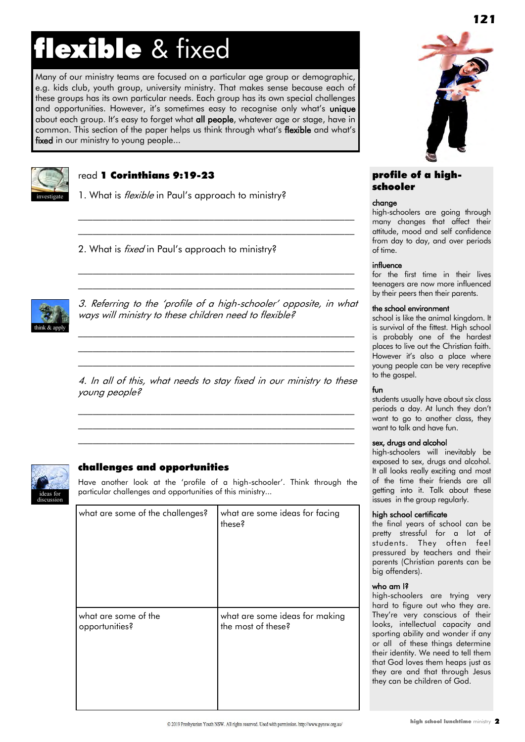### flexible & fixed

Many of our ministry teams are focused on a particular age group or demographic, e.g. kids club, youth group, university ministry. That makes sense because each of these groups has its own particular needs. Each group has its own special challenges and opportunities. However, it's sometimes easy to recognise only what's unique about each group. It's easy to forget what all people, whatever age or stage, have in common. This section of the paper helps us think through what"s flexible and what"s fixed in our ministry to young people...



### read 1 Corinthians 9:19-23

1. What is *flexible* in Paul's approach to ministry?

2. What is *fixed* in Paul's approach to ministry?



3. Referring to the "profile of a high-schooler" opposite, in what ways will ministry to these children need to flexible?

 $\mathcal{L}_\text{max}$  and the contract of the contract of the contract of the contract of the contract of the contract of \_\_\_\_\_\_\_\_\_\_\_\_\_\_\_\_\_\_\_\_\_\_\_\_\_\_\_\_\_\_\_\_\_\_\_\_\_\_\_\_\_\_\_\_\_\_\_\_\_\_\_\_\_\_\_\_\_ \_\_\_\_\_\_\_\_\_\_\_\_\_\_\_\_\_\_\_\_\_\_\_\_\_\_\_\_\_\_\_\_\_\_\_\_\_\_\_\_\_\_\_\_\_\_\_\_\_\_\_\_\_\_\_\_\_

 $\mathcal{L}_\text{max}$  and the contract of the contract of the contract of the contract of the contract of the contract of  $\mathcal{L}_\text{max}$  and the contract of the contract of the contract of the contract of the contract of the contract of

 $\mathcal{L}_\text{max}$  and the contract of the contract of the contract of the contract of the contract of the contract of  $\mathcal{L}_\text{max}$  and the contract of the contract of the contract of the contract of the contract of the contract of

4. In all of this, what needs to stay fixed in our ministry to these young people?

\_\_\_\_\_\_\_\_\_\_\_\_\_\_\_\_\_\_\_\_\_\_\_\_\_\_\_\_\_\_\_\_\_\_\_\_\_\_\_\_\_\_\_\_\_\_\_\_\_\_\_\_\_\_\_\_\_  $\mathcal{L}_\text{max}$  and the contract of the contract of the contract of the contract of the contract of the contract of \_\_\_\_\_\_\_\_\_\_\_\_\_\_\_\_\_\_\_\_\_\_\_\_\_\_\_\_\_\_\_\_\_\_\_\_\_\_\_\_\_\_\_\_\_\_\_\_\_\_\_\_\_\_\_\_\_



### challenges and opportunities

Have another look at the "profile of a high-schooler". Think through the particular challenges and opportunities of this ministry...

| what are some of the challenges? | what are some ideas for facing<br>these? |
|----------------------------------|------------------------------------------|
| what are some of the             | what are some ideas for making           |
| opportunities?                   | the most of these?                       |



### profile of a highschooler

### change

high-schoolers are going through many changes that affect their attitude, mood and self confidence from day to day, and over periods of time.

### influence

for the first time in their lives teenagers are now more influenced by their peers then their parents.

### the school environment

school is like the animal kingdom. It is survival of the fittest. High school is probably one of the hardest places to live out the Christian faith. However it's also a place where young people can be very receptive to the gospel.

### fun

students usually have about six class periods a day. At lunch they don"t want to go to another class, they want to talk and have fun.

### sex, drugs and alcohol

high-schoolers will inevitably be exposed to sex, drugs and alcohol. It all looks really exciting and most of the time their friends are all getting into it. Talk about these issues in the group regularly.

### high school certificate

the final years of school can be pretty stressful for a lot of students. They often feel pressured by teachers and their parents (Christian parents can be big offenders).

### who am I?

high-schoolers are trying very hard to figure out who they are. They"re very conscious of their looks, intellectual capacity and sporting ability and wonder if any or all of these things determine their identity. We need to tell them that God loves them heaps just as they are and that through Jesus they can be children of God.

© 2019 Presbyterian Youth NSW, All rights reserved. Used with permission, http://www.pynsw.org.au/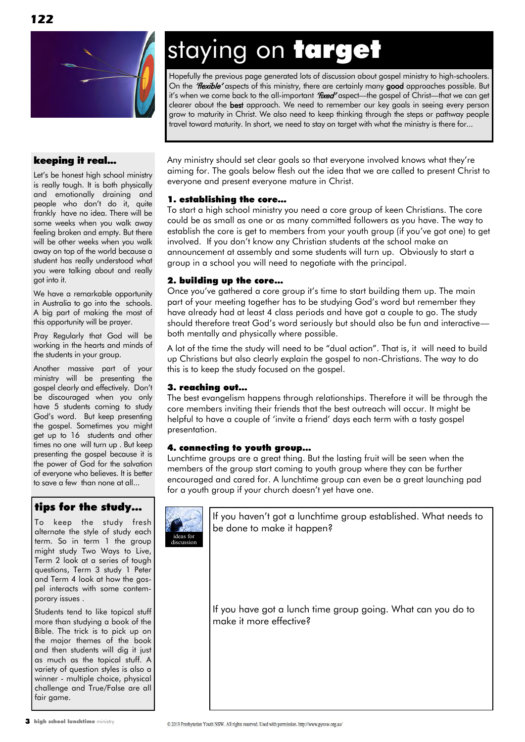

### keeping it real...

Let's be honest high school ministry is really tough. It is both physically and emotionally draining and people who don"t do it, quite frankly have no idea. There will be some weeks when you walk away feeling broken and empty. But there will be other weeks when you walk away on top of the world because a student has really understood what you were talking about and really got into it.

We have a remarkable opportunity in Australia to go into the schools. A big part of making the most of this opportunity will be prayer.

Pray Regularly that God will be working in the hearts and minds of the students in your group.

Another massive part of your ministry will be presenting the gospel clearly and effectively. Don"t be discouraged when you only have 5 students coming to study God"s word. But keep presenting the gospel. Sometimes you might get up to 16 students and other times no one will turn up . But keep presenting the gospel because it is the power of God for the salvation of everyone who believes. It is better to save a few than none at all...

### tips for the study…

To keep the study fresh alternate the style of study each term. So in term 1 the group might study Two Ways to Live, Term 2 look at a series of tough questions, Term 3 study 1 Peter and Term 4 look at how the gospel interacts with some contemporary issues .

Students tend to like topical stuff more than studying a book of the Bible. The trick is to pick up on the major themes of the book and then students will dig it just as much as the topical stuff. A variety of question styles is also a winner - multiple choice, physical challenge and True/False are all fair game.

### staying on target

Hopefully the previous page generated lots of discussion about gospel ministry to high-schoolers. On the *"flexible*" aspects of this ministry, there are certainly many good approaches possible. But it's when we come back to the all-important "fixed" aspect—the gospel of Christ—that we can get clearer about the best approach. We need to remember our key goals in seeing every person grow to maturity in Christ. We also need to keep thinking through the steps or pathway people travel toward maturity. In short, we need to stay on target with what the ministry is there for...

Any ministry should set clear goals so that everyone involved knows what they"re aiming for. The goals below flesh out the idea that we are called to present Christ to everyone and present everyone mature in Christ.

### 1. establishing the core…

To start a high school ministry you need a core group of keen Christians. The core could be as small as one or as many committed followers as you have. The way to establish the core is get to members from your youth group (if you"ve got one) to get involved. If you don't know any Christian students at the school make an announcement at assembly and some students will turn up. Obviously to start a group in a school you will need to negotiate with the principal.

### 2. building up the core…

Once you've gathered a core group it's time to start building them up. The main part of your meeting together has to be studying God"s word but remember they have already had at least 4 class periods and have got a couple to go. The study should therefore treat God"s word seriously but should also be fun and interactive both mentally and physically where possible.

A lot of the time the study will need to be "dual action". That is, it will need to build up Christians but also clearly explain the gospel to non-Christians. The way to do this is to keep the study focused on the gospel.

### 3. reaching out…

The best evangelism happens through relationships. Therefore it will be through the core members inviting their friends that the best outreach will occur. It might be helpful to have a couple of "invite a friend" days each term with a tasty gospel presentation.

### 4. connecting to youth group…

Lunchtime groups are a great thing. But the lasting fruit will be seen when the members of the group start coming to youth group where they can be further encouraged and cared for. A lunchtime group can even be a great launching pad for a youth group if your church doesn't yet have one.



<sup>3</sup> high school lunchtime ministry